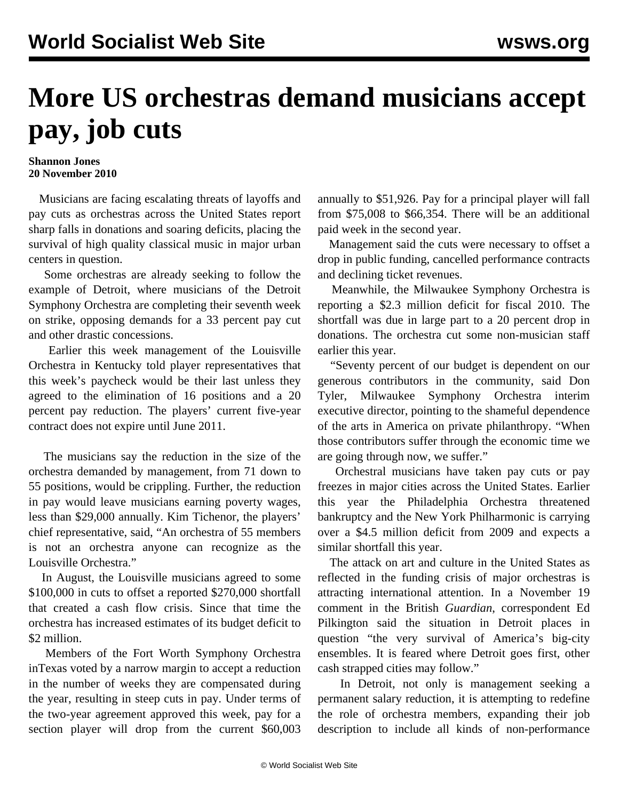## **More US orchestras demand musicians accept pay, job cuts**

## **Shannon Jones 20 November 2010**

 Musicians are facing escalating threats of layoffs and pay cuts as orchestras across the United States report sharp falls in donations and soaring deficits, placing the survival of high quality classical music in major urban centers in question.

 Some orchestras are already seeking to follow the example of Detroit, where musicians of the Detroit Symphony Orchestra are completing their seventh week on strike, opposing demands for a 33 percent pay cut and other drastic concessions.

 Earlier this week management of the Louisville Orchestra in Kentucky told player representatives that this week's paycheck would be their last unless they agreed to the elimination of 16 positions and a 20 percent pay reduction. The players' current five-year contract does not expire until June 2011.

 The musicians say the reduction in the size of the orchestra demanded by management, from 71 down to 55 positions, would be crippling. Further, the reduction in pay would leave musicians earning poverty wages, less than \$29,000 annually. Kim Tichenor, the players' chief representative, said, "An orchestra of 55 members is not an orchestra anyone can recognize as the Louisville Orchestra."

 In August, the Louisville musicians agreed to some \$100,000 in cuts to offset a reported \$270,000 shortfall that created a cash flow crisis. Since that time the orchestra has increased estimates of its budget deficit to \$2 million.

 Members of the Fort Worth Symphony Orchestra inTexas voted by a narrow margin to accept a reduction in the number of weeks they are compensated during the year, resulting in steep cuts in pay. Under terms of the two-year agreement approved this week, pay for a section player will drop from the current \$60,003 annually to \$51,926. Pay for a principal player will fall from \$75,008 to \$66,354. There will be an additional paid week in the second year.

 Management said the cuts were necessary to offset a drop in public funding, cancelled performance contracts and declining ticket revenues.

 Meanwhile, the Milwaukee Symphony Orchestra is reporting a \$2.3 million deficit for fiscal 2010. The shortfall was due in large part to a 20 percent drop in donations. The orchestra cut some non-musician staff earlier this year.

 "Seventy percent of our budget is dependent on our generous contributors in the community, said Don Tyler, Milwaukee Symphony Orchestra interim executive director, pointing to the shameful dependence of the arts in America on private philanthropy. "When those contributors suffer through the economic time we are going through now, we suffer."

 Orchestral musicians have taken pay cuts or pay freezes in major cities across the United States. Earlier this year the Philadelphia Orchestra threatened bankruptcy and the New York Philharmonic is carrying over a \$4.5 million deficit from 2009 and expects a similar shortfall this year.

 The attack on art and culture in the United States as reflected in the funding crisis of major orchestras is attracting international attention. In a November 19 comment in the British *Guardian*, correspondent Ed Pilkington said the situation in Detroit places in question "the very survival of America's big-city ensembles. It is feared where Detroit goes first, other cash strapped cities may follow."

 In Detroit, not only is management seeking a permanent salary reduction, it is attempting to redefine the role of orchestra members, expanding their job description to include all kinds of non-performance